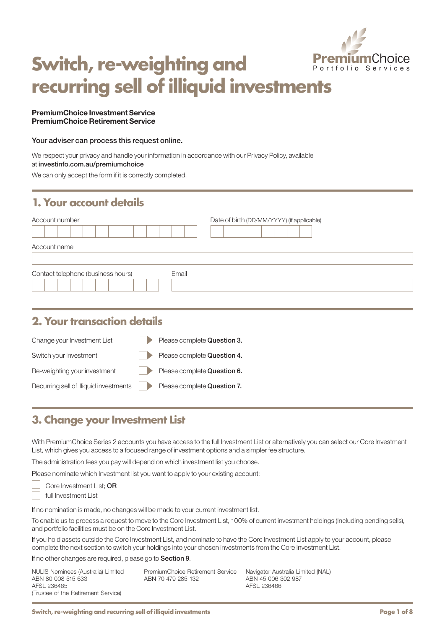

# **Switch, re-weighting and recurring sell of illiquid investments**

#### PremiumChoice Investment Service PremiumChoice Retirement Service

#### Your adviser can process this request online.

We respect your privacy and handle your information in accordance with our Privacy Policy, available at [investinfo.com.au/premiumchoice](http://investinfo.com.au/premiumchoice)

We can only accept the form if it is correctly completed.

### **1. Your account details**

| Account number                              | Date of birth (DD/MM/YYYY) (if applicable) |
|---------------------------------------------|--------------------------------------------|
| Account name                                |                                            |
| Contact telephone (business hours)<br>Email |                                            |

### **2. Your transaction details**

| Change your Investment List                                        |                | Please complete Question 3. |
|--------------------------------------------------------------------|----------------|-----------------------------|
| Switch your investment                                             | $\blacksquare$ | Please complete Question 4. |
| Re-weighting your investment                                       | $\blacksquare$ | Please complete Question 6. |
| Recurring sell of illiquid investments Prease complete Question 7. |                |                             |

### **3. Change your Investment List**

With PremiumChoice Series 2 accounts you have access to the full Investment List or alternatively you can select our Core Investment List, which gives you access to a focused range of investment options and a simpler fee structure.

The administration fees you pay will depend on which investment list you choose.

Please nominate which Investment list you want to apply to your existing account:

Core Investment List; OR

full Investment List

If no nomination is made, no changes will be made to your current investment list.

To enable us to process a request to move to the Core Investment List, 100% of current investment holdings (Including pending sells), and portfolio facilities must be on the Core Investment List.

If you hold assets outside the Core Investment List, and nominate to have the Core Investment List apply to your account, please complete the next section to switch your holdings into your chosen investments from the Core Investment List.

If no other changes are required, please go to Section 9.

| NULIS Nominees (Australia) Limited<br>ABN 80 008 515 633 | PremiumChoice Retirement Service<br>ABN 70 479 285 132 | Navigator Australia Limited (NAL)<br>ABN 45 006 302 987 |
|----------------------------------------------------------|--------------------------------------------------------|---------------------------------------------------------|
| AFSL 236465                                              |                                                        | AFSL 236466                                             |
| (Trustee of the Retirement Service)                      |                                                        |                                                         |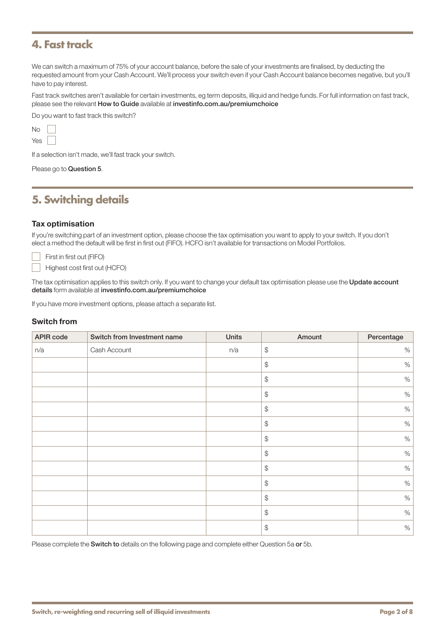### **4. Fast track**

We can switch a maximum of 75% of your account balance, before the sale of your investments are finalised, by deducting the requested amount from your Cash Account. We'll process your switch even if your Cash Account balance becomes negative, but you'll have to pay interest.

Fast track switches aren't available for certain investments, eg term deposits, illiquid and hedge funds. For full information on fast track, please see the relevant How to Guide available at [investinfo.com.au/premiumchoice](http://investinfo.com.au/premiumchoice)

Do you want to fast track this switch?

No Yes

If a selection isn't made, we'll fast track your switch.

Please go to Question 5.

### **5. Switching details**

#### Tax optimisation

If you're switching part of an investment option, please choose the tax optimisation you want to apply to your switch. If you don't elect a method the default will be first in first out (FIFO). HCFO isn't available for transactions on Model Portfolios.

First in first out (FIFO) Highest cost first out (HCFO)

The tax optimisation applies to this switch only. If you want to change your default tax optimisation please use the Update account details form available at [investinfo.com.au/premiumchoice](http://investinfo.com.au/premiumchoice)

If you have more investment options, please attach a separate list.

#### Switch from

| <b>APIR code</b> | Switch from Investment name | <b>Units</b> | Amount                                            | Percentage |
|------------------|-----------------------------|--------------|---------------------------------------------------|------------|
| n/a              | Cash Account                | n/a          | $\, \, \raisebox{12pt}{$\scriptstyle \circ$}$     | $\%$       |
|                  |                             |              | $\, \, \raisebox{12pt}{$\scriptstyle \circ$}$     | $\%$       |
|                  |                             |              | $\, \, \raisebox{-1.5pt}{\text{\circle*{1.5}}}\,$ | $\%$       |
|                  |                             |              | $\, \, \raisebox{12pt}{$\scriptstyle \circ$}$     | $\%$       |
|                  |                             |              | $\, \, \raisebox{-1.5pt}{\text{\circle*{1.5}}}\,$ | $\%$       |
|                  |                             |              | $\, \, \raisebox{-1.5pt}{\text{\circle*{1.5}}}\,$ | $\%$       |
|                  |                             |              | $\, \, \raisebox{-1.5pt}{\text{\circle*{1.5}}}\,$ | $\%$       |
|                  |                             |              | $\, \, \raisebox{-1.5pt}{\text{\circle*{1.5}}}\,$ | $\%$       |
|                  |                             |              | $\, \, \raisebox{12pt}{$\scriptstyle \circ$}$     | $\%$       |
|                  |                             |              | $\, \, \raisebox{-1.5pt}{\text{\circle*{1.5}}}\,$ | $\%$       |
|                  |                             |              | $\, \, \raisebox{12pt}{$\scriptstyle \circ$}$     | $\%$       |
|                  |                             |              | $\, \, \raisebox{-1.5pt}{\text{\circle*{1.5}}}\,$ | $\%$       |
|                  |                             |              | $\, \, \raisebox{-1.5pt}{\text{\circle*{1.5}}}\,$ | $\%$       |

Please complete the Switch to details on the following page and complete either Question 5a or 5b.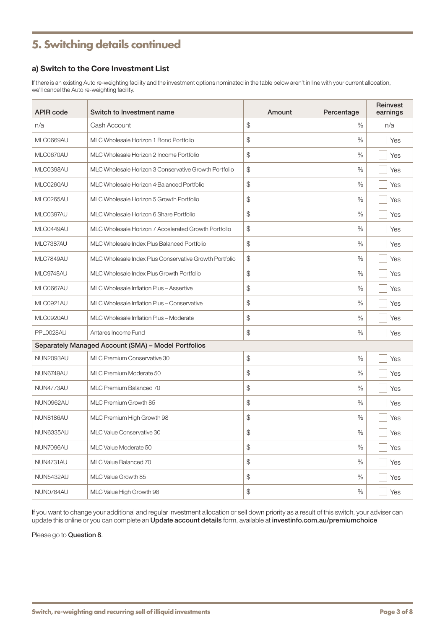## **5. Switching details continued**

### a) Switch to the Core Investment List

If there is an existing Auto re-weighting facility and the investment options nominated in the table below aren't in line with your current allocation, we'll cancel the Auto re-weighting facility.

| <b>APIR code</b> | Switch to Investment name                              | Amount | Percentage | Reinvest<br>earnings |
|------------------|--------------------------------------------------------|--------|------------|----------------------|
| n/a              | Cash Account                                           | \$     | $\%$       | n/a                  |
| MLC0669AU        | MLC Wholesale Horizon 1 Bond Portfolio                 | \$     | $\%$       | Yes                  |
| MLC0670AU        | MLC Wholesale Horizon 2 Income Portfolio               | \$     | $\%$       | Yes                  |
| MLC0398AU        | MLC Wholesale Horizon 3 Conservative Growth Portfolio  | \$     | %          | Yes                  |
| MLC0260AU        | MLC Wholesale Horizon 4 Balanced Portfolio             | \$     | $\%$       | Yes                  |
| MLC0265AU        | MLC Wholesale Horizon 5 Growth Portfolio               | \$     | $\%$       | Yes                  |
| MLC0397AU        | MLC Wholesale Horizon 6 Share Portfolio                | \$     | %          | Yes                  |
| MLC0449AU        | MLC Wholesale Horizon 7 Accelerated Growth Portfolio   | \$     | $\%$       | Yes                  |
| MLC7387AU        | MLC Wholesale Index Plus Balanced Portfolio            | \$     | $\%$       | Yes                  |
| MLC7849AU        | MLC Wholesale Index Plus Conservative Growth Portfolio | \$     | $\%$       | Yes                  |
| MLC9748AU        | MLC Wholesale Index Plus Growth Portfolio              | \$     | %          | Yes                  |
| MLC0667AU        | MLC Wholesale Inflation Plus - Assertive               | \$     | $\%$       | Yes                  |
| MLC0921AU        | MLC Wholesale Inflation Plus - Conservative            | \$     | %          | Yes                  |
| MLC0920AU        | MLC Wholesale Inflation Plus - Moderate                | \$     | $\%$       | Yes                  |
| PPL0028AU        | Antares Income Fund                                    | \$     | $\%$       | Yes                  |
|                  | Separately Managed Account (SMA) - Model Portfolios    |        |            |                      |
| <b>NUN2093AU</b> | MLC Premium Conservative 30                            | \$     | $\%$       | Yes                  |
| NUN6749AU        | MLC Premium Moderate 50                                | \$     | $\%$       | Yes                  |
| NUN4773AU        | <b>MLC Premium Balanced 70</b>                         | \$     | $\%$       | Yes                  |
| NUN0962AU        | MLC Premium Growth 85                                  | \$     | %          | Yes                  |
| NUN8186AU        | MLC Premium High Growth 98                             | \$     | $\%$       | Yes                  |
| NUN6335AU        | MLC Value Conservative 30                              | \$     | $\%$       | Yes                  |
| NUN7096AU        | MLC Value Moderate 50                                  | \$     | $\%$       | Yes                  |
| NUN4731AU        | MLC Value Balanced 70                                  | \$     | $\%$       | Yes                  |
| NUN5432AU        | MLC Value Growth 85                                    | \$     | $\%$       | Yes                  |
| NUN0784AU        | MLC Value High Growth 98                               | \$     | %          | Yes                  |

If you want to change your additional and regular investment allocation or sell down priority as a result of this switch, your adviser can update this online or you can complete an Update account details form, available at [investinfo.com.au/premiumchoice](http://investinfo.com.au/premiumchoice)

Please go to **Question 8**.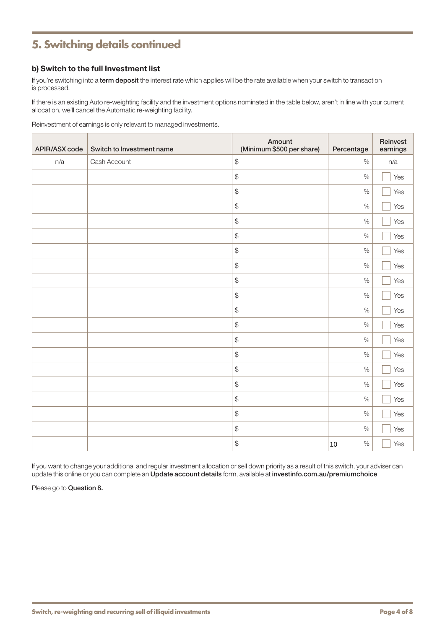### **5. Switching details continued**

### b) Switch to the full Investment list

If you're switching into a term deposit the interest rate which applies will be the rate available when your switch to transaction is processed.

If there is an existing Auto re-weighting facility and the investment options nominated in the table below, aren't in line with your current allocation, we'll cancel the Automatic re-weighting facility.

Reinvestment of earnings is only relevant to managed investments.

| APIR/ASX code | Switch to Investment name | Amount<br>(Minimum \$500 per share)             | Percentage | Reinvest<br>earnings |
|---------------|---------------------------|-------------------------------------------------|------------|----------------------|
| n/a           | Cash Account              | $\, \, \raisebox{12pt}{$\scriptstyle \circ$}$   | $\%$       | n/a                  |
|               |                           | $\, \, \raisebox{12pt}{$\scriptstyle \circ$}$   | $\%$       | Yes                  |
|               |                           | $\, \, \raisebox{12pt}{$\scriptstyle \circ$}$   | $\%$       | Yes                  |
|               |                           | $\, \, \raisebox{12pt}{$\scriptstyle \circ$}$   | $\%$       | Yes                  |
|               |                           | $\, \, \raisebox{12pt}{$\scriptstyle \circ$}$   | $\%$       | Yes                  |
|               |                           | $\, \, \raisebox{12pt}{$\scriptstyle \circ$}$   | $\%$       | Yes                  |
|               |                           | $\, \, \raisebox{-1.5pt}{$\scriptstyle \circ$}$ | $\%$       | Yes                  |
|               |                           | $\, \, \raisebox{12pt}{$\scriptstyle \circ$}$   | $\%$       | Yes                  |
|               |                           | $\, \, \raisebox{12pt}{$\scriptstyle \circ$}$   | $\%$       | Yes                  |
|               |                           | $\, \, \raisebox{12pt}{$\scriptstyle \circ$}$   | $\%$       | Yes                  |
|               |                           | $\, \, \raisebox{12pt}{$\scriptstyle \circ$}$   | $\%$       | Yes                  |
|               |                           | $\, \, \raisebox{12pt}{$\scriptstyle \circ$}$   | $\%$       | Yes                  |
|               |                           | $\, \, \raisebox{12pt}{$\scriptstyle \circ$}$   | $\%$       | Yes                  |
|               |                           | $\, \, \raisebox{12pt}{$\scriptstyle \circ$}$   | $\%$       | Yes                  |
|               |                           | $\, \, \raisebox{12pt}{$\scriptstyle \circ$}$   | $\%$       | Yes                  |
|               |                           | $\, \, \raisebox{12pt}{$\scriptstyle \circ$}$   | $\%$       | Yes                  |
|               |                           | $\, \, \raisebox{12pt}{$\scriptstyle \circ$}$   | $\%$       | Yes                  |
|               |                           | $\, \, \raisebox{-1.5pt}{$\mathfrak{P}$}$       | $\%$       | Yes                  |
|               |                           | $\, \, \raisebox{12pt}{$\scriptstyle \circ$}$   | $\%$       | Yes                  |
|               |                           | $\, \, \raisebox{12pt}{$\scriptstyle \circ$}$   | $\%$<br>10 | Yes                  |

If you want to change your additional and regular investment allocation or sell down priority as a result of this switch, your adviser can update this online or you can complete an Update account details form, available at [investinfo.com.au/premiumchoice](http://investinfo.com.au/premiumchoice)

Please go to Question 8.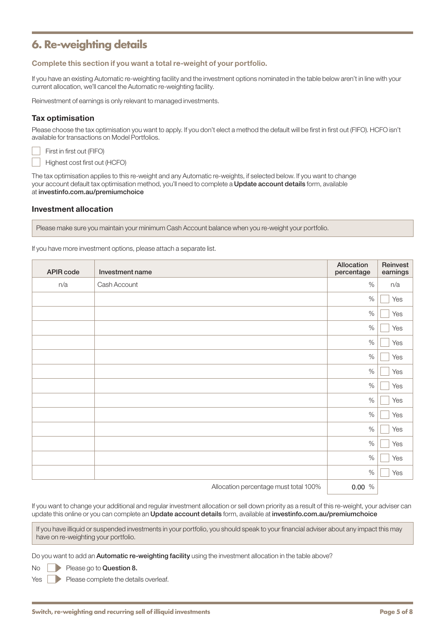### **6. Re-weighting details**

Complete this section if you want a total re-weight of your portfolio.

If you have an existing Automatic re-weighting facility and the investment options nominated in the table below aren't in line with your current allocation, we'll cancel the Automatic re-weighting facility.

Reinvestment of earnings is only relevant to managed investments.

#### Tax optimisation

Please choose the tax optimisation you want to apply. If you don't elect a method the default will be first in first out (FIFO). HCFO isn't available for transactions on Model Portfolios.

First in first out (FIFO) Highest cost first out (HCFO)

The tax optimisation applies to this re-weight and any Automatic re-weights, if selected below. If you want to change your account default tax optimisation method, you'll need to complete a Update account details form, available at [investinfo.com.au/premiumchoice](http://investinfo.com.au/premiumchoice)

#### Investment allocation

Please make sure you maintain your minimum Cash Account balance when you re-weight your portfolio.

If you have more investment options, please attach a separate list.

| APIR code | Investment name                       | Allocation<br>percentage | Reinvest<br>earnings |
|-----------|---------------------------------------|--------------------------|----------------------|
| n/a       | Cash Account                          | $\%$                     | n/a                  |
|           |                                       | $\%$                     | Yes                  |
|           |                                       | $\%$                     | Yes                  |
|           |                                       | $\%$                     | Yes                  |
|           |                                       | $\%$                     | Yes                  |
|           |                                       | $\%$                     | Yes                  |
|           |                                       | $\%$                     | Yes                  |
|           |                                       | $\%$                     | Yes                  |
|           |                                       | $\%$                     | Yes                  |
|           |                                       | $\%$                     | Yes                  |
|           |                                       | $\%$                     | Yes                  |
|           |                                       | $\%$                     | Yes                  |
|           |                                       | $\%$                     | Yes                  |
|           |                                       | $\%$                     | Yes                  |
|           | Allocation percentage must total 100% | 0.00%                    |                      |

Allocation percentage must total 100% %

If you want to change your additional and regular investment allocation or sell down priority as a result of this re-weight, your adviser can update this online or you can complete an Update account details form, available at [investinfo.com.au/premiumchoice](http://investinfo.com.au/premiumchoice)

If you have illiquid or suspended investments in your portfolio, you should speak to your financial adviser about any impact this may have on re-weighting your portfolio.

Do you want to add an Automatic re-weighting facility using the investment allocation in the table above?

Please go to Question 8.

Yes **Please complete the details overleaf.**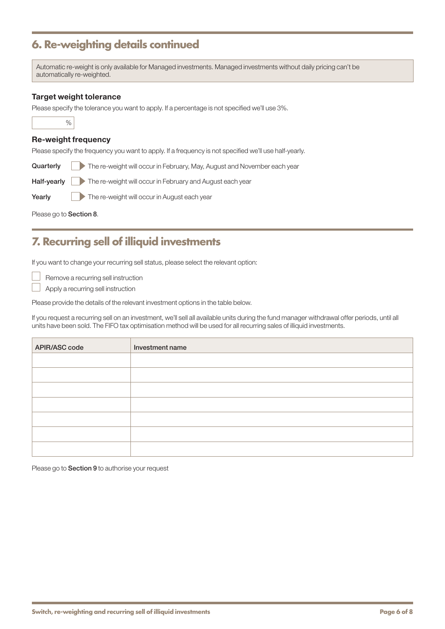### **6. Re-weighting details continued**

Automatic re-weight is only available for Managed investments. Managed investments without daily pricing can't be automatically re-weighted.

#### Target weight tolerance

Please specify the tolerance you want to apply. If a percentage is not specified we'll use 3%.

#### Re-weight frequency

Please specify the frequency you want to apply. If a frequency is not specified we'll use half-yearly.

Quarterly The re-weight will occur in February, May, August and November each year

Half-yearly **The re-weight will occur in February and August each year** 

Yearly The re-weight will occur in August each year

Please go to Section 8.

### **7. Recurring sell of illiquid investments**

If you want to change your recurring sell status, please select the relevant option:

Remove a recurring sell instruction

Apply a recurring sell instruction

Please provide the details of the relevant investment options in the table below.

If you request a recurring sell on an investment, we'll sell all available units during the fund manager withdrawal offer periods, until all units have been sold. The FIFO tax optimisation method will be used for all recurring sales of illiquid investments.

| APIR/ASC code | Investment name |
|---------------|-----------------|
|               |                 |
|               |                 |
|               |                 |
|               |                 |
|               |                 |
|               |                 |
|               |                 |
|               |                 |

Please go to **Section 9** to authorise your request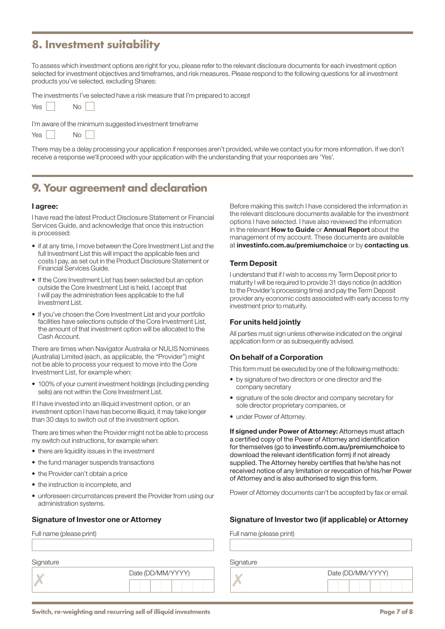### **8. Investment suitability**

To assess which investment options are right for you, please refer to the relevant disclosure documents for each investment option selected for investment objectives and timeframes, and risk measures. Please respond to the following questions for all investment products you've selected, excluding Shares:

The investments I've selected have a risk measure that I'm prepared to accept

| Yes |  | Νo |  |
|-----|--|----|--|
|-----|--|----|--|

 $N<sub>0</sub>$ 

I'm aware of the minimum suggested investment timeframe

|--|--|

There may be a delay processing your application if responses aren't provided, while we contact you for more information. If we don't receive a response we'll proceed with your application with the understanding that your responses are 'Yes'.

### **9. Your agreement and declaration**

#### I agree:

I have read the latest Product Disclosure Statement or Financial Services Guide, and acknowledge that once this instruction is processed:

- if at any time, I move between the Core Investment List and the full Investment List this will impact the applicable fees and costs I pay, as set out in the Product Disclosure Statement or Financial Services Guide.
- If the Core Investment List has been selected but an option outside the Core Investment List is held, I accept that I will pay the administration fees applicable to the full Investment List.
- If you've chosen the Core Investment List and your portfolio facilities have selections outside of the Core Investment List, the amount of that investment option will be allocated to the Cash Account.

There are times when Navigator Australia or NULIS Nominees (Australia) Limited (each, as applicable, the "Provider") might not be able to process your request to move into the Core Investment List, for example when:

• 100% of your current investment holdings (including pending sells) are not within the Core Investment List.

If I have invested into an illiquid investment option, or an investment option I have has become illiquid, it may take longer than 30 days to switch out of the investment option.

There are times when the Provider might not be able to process my switch out instructions, for example when:

- there are liquidity issues in the investment
- the fund manager suspends transactions
- the Provider can't obtain a price
- the instruction is incomplete, and
- unforeseen circumstances prevent the Provider from using our administration systems.

| Signature |                   | Signature |                   |
|-----------|-------------------|-----------|-------------------|
|           | Date (DD/MM/YYYY) |           | Date (DD/MM/YYYY) |
|           |                   |           |                   |

Before making this switch I have considered the information in the relevant disclosure documents available for the investment options I have selected. I have also reviewed the information in the relevant **How to Guide** or **Annual Report** about the management of my account. These documents are available at [investinfo.com.au/premiumchoice](http://investinfo.com.au/premiumchoice) or by contacting us.

#### Term Deposit

I understand that if I wish to access my Term Deposit prior to maturity I will be required to provide 31 days notice (in addition to the Provider's processing time) and pay the Term Deposit provider any economic costs associated with early access to my investment prior to maturity.

#### For units held jointly

All parties must sign unless otherwise indicated on the original application form or as subsequently advised.

#### On behalf of a Corporation

This form must be executed by one of the following methods:

- by signature of two directors or one director and the company secretary
- signature of the sole director and company secretary for sole director proprietary companies, or
- under Power of Attorney.

If signed under Power of Attorney: Attorneys must attach a certified copy of the Power of Attorney and identification for themselves (go to [investinfo.com.au/premiumchoice](http://investinfo.com.au/premiumchoice) to download the relevant identification form) if not already supplied. The Attorney hereby certifies that he/she has not received notice of any limitation or revocation of his/her Power of Attorney and is also authorised to sign this form.

Power of Attorney documents can't be accepted by fax or email.

#### Signature of Investor one or Attorney Signature of Investor two (if applicable) or Attorney

Full name (please print) Full name (please print)

|  | Date (DD/MM/YYYY) |  |  |  |  |
|--|-------------------|--|--|--|--|
|  |                   |  |  |  |  |